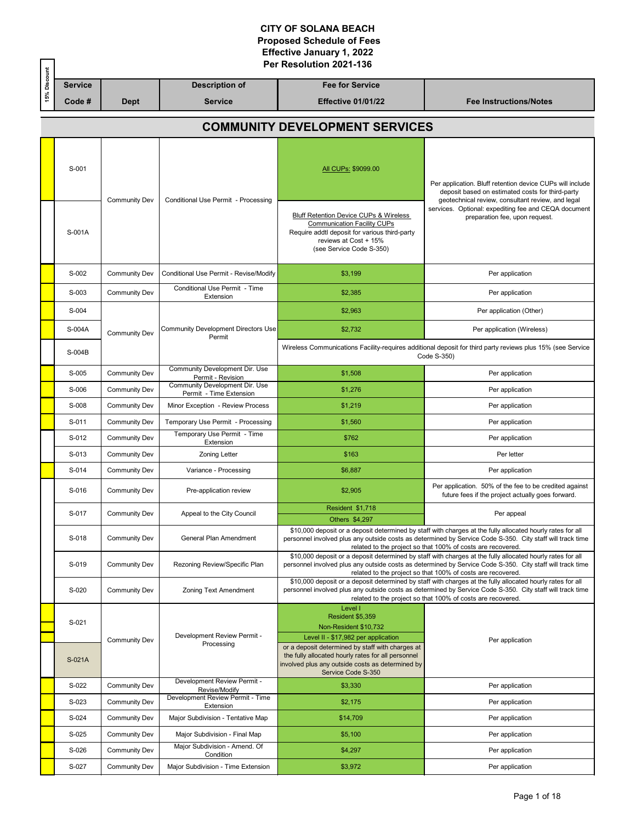|              |                                       | Per Resolution 2021-136 |                                                           |                                                                                                                                                                                               |                                                                                                                                                                                                                                                                                        |  |  |  |
|--------------|---------------------------------------|-------------------------|-----------------------------------------------------------|-----------------------------------------------------------------------------------------------------------------------------------------------------------------------------------------------|----------------------------------------------------------------------------------------------------------------------------------------------------------------------------------------------------------------------------------------------------------------------------------------|--|--|--|
| 15% Discount | <b>Service</b>                        |                         | <b>Description of</b>                                     | <b>Fee for Service</b>                                                                                                                                                                        |                                                                                                                                                                                                                                                                                        |  |  |  |
|              | Code#                                 | <b>Dept</b>             | <b>Service</b>                                            | <b>Effective 01/01/22</b>                                                                                                                                                                     | <b>Fee Instructions/Notes</b>                                                                                                                                                                                                                                                          |  |  |  |
|              | <b>COMMUNITY DEVELOPMENT SERVICES</b> |                         |                                                           |                                                                                                                                                                                               |                                                                                                                                                                                                                                                                                        |  |  |  |
|              | S-001                                 | <b>Community Dev</b>    | Conditional Use Permit - Processing                       | All CUPs: \$9099.00                                                                                                                                                                           | Per application. Bluff retention device CUPs will include<br>deposit based on estimated costs for third-party<br>geotechnical review, consultant review, and legal                                                                                                                     |  |  |  |
|              | S-001A                                |                         |                                                           | <b>Bluff Retention Device CUPs &amp; Wireless</b><br><b>Communication Facility CUPs</b><br>Require addtl deposit for various third-party<br>reviews at Cost + 15%<br>(see Service Code S-350) | services. Optional: expediting fee and CEQA document<br>preparation fee, upon request.                                                                                                                                                                                                 |  |  |  |
|              | S-002                                 | <b>Community Dev</b>    | Conditional Use Permit - Revise/Modify                    | \$3,199                                                                                                                                                                                       | Per application                                                                                                                                                                                                                                                                        |  |  |  |
|              | S-003                                 | <b>Community Dev</b>    | Conditional Use Permit - Time<br>Extension                | \$2,385                                                                                                                                                                                       | Per application                                                                                                                                                                                                                                                                        |  |  |  |
|              | S-004                                 |                         |                                                           | \$2,963                                                                                                                                                                                       | Per application (Other)                                                                                                                                                                                                                                                                |  |  |  |
|              | S-004A                                | <b>Community Dev</b>    | Community Development Directors Use                       | \$2,732                                                                                                                                                                                       | Per application (Wireless)                                                                                                                                                                                                                                                             |  |  |  |
|              | S-004B                                |                         | Permit                                                    | Wireless Communications Facility-requires additional deposit for third party reviews plus 15% (see Service<br>Code S-350)                                                                     |                                                                                                                                                                                                                                                                                        |  |  |  |
|              | S-005                                 | Community Dev           | Community Development Dir. Use<br>Permit - Revision       | \$1,508                                                                                                                                                                                       | Per application                                                                                                                                                                                                                                                                        |  |  |  |
|              | S-006                                 | <b>Community Dev</b>    | Community Development Dir. Use<br>Permit - Time Extension | \$1,276                                                                                                                                                                                       | Per application                                                                                                                                                                                                                                                                        |  |  |  |
|              | S-008                                 | <b>Community Dev</b>    | Minor Exception - Review Process                          | \$1,219                                                                                                                                                                                       | Per application                                                                                                                                                                                                                                                                        |  |  |  |
|              | S-011                                 | <b>Community Dev</b>    | Temporary Use Permit - Processing                         | \$1,560                                                                                                                                                                                       | Per application                                                                                                                                                                                                                                                                        |  |  |  |
|              | S-012                                 | <b>Community Dev</b>    | Temporary Use Permit - Time<br>Extension                  | \$762                                                                                                                                                                                         | Per application                                                                                                                                                                                                                                                                        |  |  |  |
|              | S-013                                 | <b>Community Dev</b>    | <b>Zoning Letter</b>                                      | \$163                                                                                                                                                                                         | Per letter                                                                                                                                                                                                                                                                             |  |  |  |
|              | S-014                                 | <b>Community Dev</b>    | Variance - Processing                                     | \$6,887                                                                                                                                                                                       | Per application                                                                                                                                                                                                                                                                        |  |  |  |
|              | S-016                                 | <b>Community Dev</b>    | Pre-application review                                    | \$2,905                                                                                                                                                                                       | Per application. 50% of the fee to be credited against<br>future fees if the project actually goes forward.                                                                                                                                                                            |  |  |  |
|              | S-017                                 | Community Dev           | Appeal to the City Council                                | Resident \$1,718<br>Others \$4,297                                                                                                                                                            | Per appeal                                                                                                                                                                                                                                                                             |  |  |  |
|              | S-018                                 | <b>Community Dev</b>    | General Plan Amendment                                    |                                                                                                                                                                                               | \$10,000 deposit or a deposit determined by staff with charges at the fully allocated hourly rates for all<br>personnel involved plus any outside costs as determined by Service Code S-350. City staff will track time<br>related to the project so that 100% of costs are recovered. |  |  |  |
|              | S-019                                 | <b>Community Dev</b>    | Rezoning Review/Specific Plan                             |                                                                                                                                                                                               | \$10,000 deposit or a deposit determined by staff with charges at the fully allocated hourly rates for all<br>personnel involved plus any outside costs as determined by Service Code S-350. City staff will track time<br>related to the project so that 100% of costs are recovered. |  |  |  |
|              | S-020                                 | <b>Community Dev</b>    | Zoning Text Amendment                                     |                                                                                                                                                                                               | \$10,000 deposit or a deposit determined by staff with charges at the fully allocated hourly rates for all<br>personnel involved plus any outside costs as determined by Service Code S-350. City staff will track time<br>related to the project so that 100% of costs are recovered. |  |  |  |
|              | S-021                                 | <b>Community Dev</b>    | Development Review Permit -<br>Processing                 | Level I<br>Resident \$5,359<br>Non-Resident \$10,732<br>Level II - \$17,982 per application                                                                                                   | Per application                                                                                                                                                                                                                                                                        |  |  |  |
|              | S-021A                                |                         |                                                           | or a deposit determined by staff with charges at<br>the fully allocated hourly rates for all personnel<br>involved plus any outside costs as determined by<br>Service Code S-350              |                                                                                                                                                                                                                                                                                        |  |  |  |
|              | S-022                                 | <b>Community Dev</b>    | Development Review Permit -<br>Revise/Modify              | \$3,330                                                                                                                                                                                       | Per application                                                                                                                                                                                                                                                                        |  |  |  |
|              | S-023                                 | <b>Community Dev</b>    | Development Review Permit - Time<br>Extension             | \$2,175                                                                                                                                                                                       | Per application                                                                                                                                                                                                                                                                        |  |  |  |
|              | S-024                                 | <b>Community Dev</b>    | Major Subdivision - Tentative Map                         | \$14,709                                                                                                                                                                                      | Per application                                                                                                                                                                                                                                                                        |  |  |  |
|              | S-025                                 | <b>Community Dev</b>    | Major Subdivision - Final Map                             | \$5,100                                                                                                                                                                                       | Per application                                                                                                                                                                                                                                                                        |  |  |  |
|              | S-026                                 | <b>Community Dev</b>    | Major Subdivision - Amend. Of<br>Condition                | \$4,297                                                                                                                                                                                       | Per application                                                                                                                                                                                                                                                                        |  |  |  |
|              | S-027                                 | <b>Community Dev</b>    | Major Subdivision - Time Extension                        | \$3,972                                                                                                                                                                                       | Per application                                                                                                                                                                                                                                                                        |  |  |  |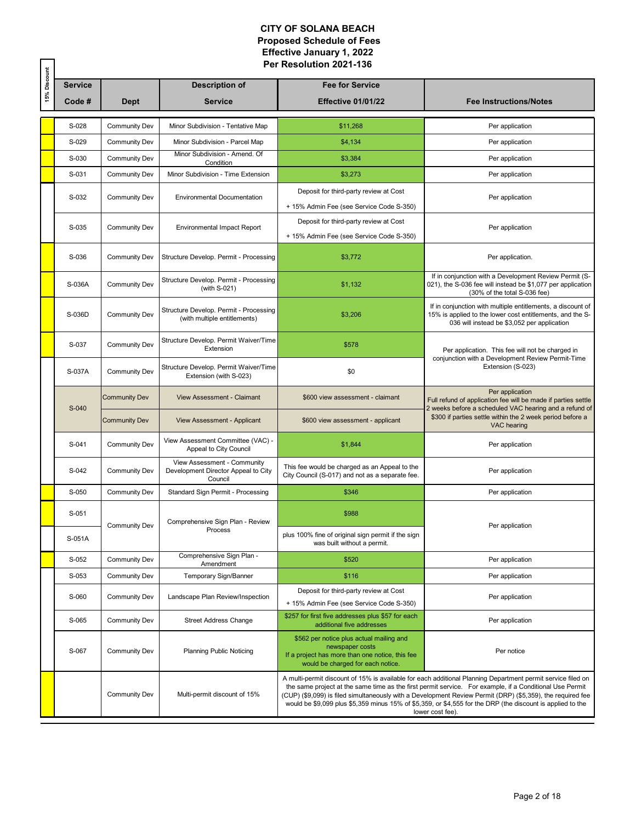|              |                |                      |                                                                               | Per Resolution 2021-136                                                                                                                             |                                                                                                                                                                                                                                                                                                                                                                                                                                                                        |
|--------------|----------------|----------------------|-------------------------------------------------------------------------------|-----------------------------------------------------------------------------------------------------------------------------------------------------|------------------------------------------------------------------------------------------------------------------------------------------------------------------------------------------------------------------------------------------------------------------------------------------------------------------------------------------------------------------------------------------------------------------------------------------------------------------------|
| 15% Discount | <b>Service</b> |                      | <b>Description of</b>                                                         | <b>Fee for Service</b>                                                                                                                              |                                                                                                                                                                                                                                                                                                                                                                                                                                                                        |
|              | Code#          | <b>Dept</b>          | <b>Service</b>                                                                | <b>Effective 01/01/22</b>                                                                                                                           | <b>Fee Instructions/Notes</b>                                                                                                                                                                                                                                                                                                                                                                                                                                          |
|              | S-028          | <b>Community Dev</b> | Minor Subdivision - Tentative Map                                             | \$11,268                                                                                                                                            | Per application                                                                                                                                                                                                                                                                                                                                                                                                                                                        |
|              | S-029          | <b>Community Dev</b> | Minor Subdivision - Parcel Map                                                | \$4,134                                                                                                                                             | Per application                                                                                                                                                                                                                                                                                                                                                                                                                                                        |
|              | S-030          | Community Dev        | Minor Subdivision - Amend. Of<br>Condition                                    | \$3,384                                                                                                                                             | Per application                                                                                                                                                                                                                                                                                                                                                                                                                                                        |
|              | S-031          | Community Dev        | Minor Subdivision - Time Extension                                            | \$3,273                                                                                                                                             | Per application                                                                                                                                                                                                                                                                                                                                                                                                                                                        |
|              | S-032          | <b>Community Dev</b> | <b>Environmental Documentation</b>                                            | Deposit for third-party review at Cost<br>+ 15% Admin Fee (see Service Code S-350)                                                                  | Per application                                                                                                                                                                                                                                                                                                                                                                                                                                                        |
|              | S-035          | <b>Community Dev</b> | <b>Environmental Impact Report</b>                                            | Deposit for third-party review at Cost<br>+ 15% Admin Fee (see Service Code S-350)                                                                  | Per application                                                                                                                                                                                                                                                                                                                                                                                                                                                        |
|              | S-036          | <b>Community Dev</b> | Structure Develop. Permit - Processing                                        | \$3,772                                                                                                                                             | Per application.                                                                                                                                                                                                                                                                                                                                                                                                                                                       |
|              | S-036A         | <b>Community Dev</b> | Structure Develop. Permit - Processing<br>(with S-021)                        | \$1,132                                                                                                                                             | If in conjunction with a Development Review Permit (S-<br>021), the S-036 fee will instead be \$1,077 per application<br>(30% of the total S-036 fee)                                                                                                                                                                                                                                                                                                                  |
|              | S-036D         | Community Dev        | Structure Develop. Permit - Processing<br>(with multiple entitlements)        | \$3,206                                                                                                                                             | If in conjunction with multiple entitlements, a discount of<br>15% is applied to the lower cost entitlements, and the S-<br>036 will instead be \$3,052 per application                                                                                                                                                                                                                                                                                                |
|              | S-037          | <b>Community Dev</b> | Structure Develop. Permit Waiver/Time<br>Extension                            | \$578                                                                                                                                               | Per application. This fee will not be charged in<br>conjunction with a Development Review Permit-Time                                                                                                                                                                                                                                                                                                                                                                  |
|              | S-037A         | <b>Community Dev</b> | Structure Develop. Permit Waiver/Time<br>Extension (with S-023)               | \$0                                                                                                                                                 | Extension (S-023)                                                                                                                                                                                                                                                                                                                                                                                                                                                      |
|              | S-040          | <b>Community Dev</b> | <b>View Assessment - Claimant</b>                                             | \$600 view assessment - claimant                                                                                                                    | Per application<br>Full refund of application fee will be made if parties settle<br>2 weeks before a scheduled VAC hearing and a refund of                                                                                                                                                                                                                                                                                                                             |
|              |                | <b>Community Dev</b> | View Assessment - Applicant                                                   | \$600 view assessment - applicant                                                                                                                   | \$300 if parties settle within the 2 week period before a<br>VAC hearing                                                                                                                                                                                                                                                                                                                                                                                               |
|              | S-041          | <b>Community Dev</b> | View Assessment Committee (VAC) -<br>Appeal to City Council                   | \$1,844                                                                                                                                             | Per application                                                                                                                                                                                                                                                                                                                                                                                                                                                        |
|              | S-042          | <b>Community Dev</b> | View Assessment - Community<br>Development Director Appeal to City<br>Council | This fee would be charged as an Appeal to the<br>City Council (S-017) and not as a separate fee.                                                    | Per application                                                                                                                                                                                                                                                                                                                                                                                                                                                        |
|              | S-050          | <b>Community Dev</b> | Standard Sign Permit - Processing                                             | \$346                                                                                                                                               | Per application                                                                                                                                                                                                                                                                                                                                                                                                                                                        |
|              | S-051          | <b>Community Dev</b> | Comprehensive Sign Plan - Review                                              | \$988                                                                                                                                               | Per application                                                                                                                                                                                                                                                                                                                                                                                                                                                        |
|              | S-051A         |                      | Process                                                                       | plus 100% fine of original sign permit if the sign<br>was built without a permit.                                                                   |                                                                                                                                                                                                                                                                                                                                                                                                                                                                        |
|              | S-052          | <b>Community Dev</b> | Comprehensive Sign Plan -<br>Amendment                                        | \$520                                                                                                                                               | Per application                                                                                                                                                                                                                                                                                                                                                                                                                                                        |
|              | S-053          | <b>Community Dev</b> | Temporary Sign/Banner                                                         | \$116                                                                                                                                               | Per application                                                                                                                                                                                                                                                                                                                                                                                                                                                        |
|              | S-060          | <b>Community Dev</b> | Landscape Plan Review/Inspection                                              | Deposit for third-party review at Cost<br>+ 15% Admin Fee (see Service Code S-350)                                                                  | Per application                                                                                                                                                                                                                                                                                                                                                                                                                                                        |
|              | S-065          | <b>Community Dev</b> | <b>Street Address Change</b>                                                  | \$257 for first five addresses plus \$57 for each<br>additional five addresses                                                                      | Per application                                                                                                                                                                                                                                                                                                                                                                                                                                                        |
|              | S-067          | <b>Community Dev</b> | <b>Planning Public Noticing</b>                                               | \$562 per notice plus actual mailing and<br>newspaper costs<br>If a project has more than one notice, this fee<br>would be charged for each notice. | Per notice                                                                                                                                                                                                                                                                                                                                                                                                                                                             |
|              |                | <b>Community Dev</b> | Multi-permit discount of 15%                                                  |                                                                                                                                                     | A multi-permit discount of 15% is available for each additional Planning Department permit service filed on<br>the same project at the same time as the first permit service. For example, if a Conditional Use Permit<br>(CUP) (\$9,099) is filed simultaneously with a Development Review Permit (DRP) (\$5,359), the required fee<br>would be \$9,099 plus \$5,359 minus 15% of \$5,359, or \$4,555 for the DRP (the discount is applied to the<br>lower cost fee). |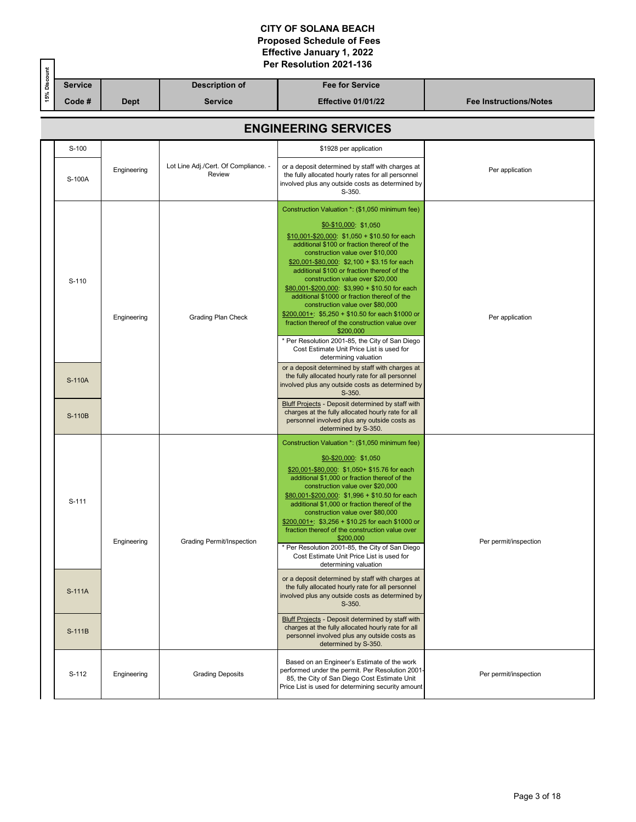|              |                  | Per Resolution 2021-136 |                                                |                                                                                                                                                                                                                                                                                                                                                                                                                                                                                                                                                                                                                                                                                                                                                                                                                                                                                                 |                               |  |  |  |
|--------------|------------------|-------------------------|------------------------------------------------|-------------------------------------------------------------------------------------------------------------------------------------------------------------------------------------------------------------------------------------------------------------------------------------------------------------------------------------------------------------------------------------------------------------------------------------------------------------------------------------------------------------------------------------------------------------------------------------------------------------------------------------------------------------------------------------------------------------------------------------------------------------------------------------------------------------------------------------------------------------------------------------------------|-------------------------------|--|--|--|
| 15% Discount | <b>Service</b>   |                         | <b>Description of</b>                          | <b>Fee for Service</b>                                                                                                                                                                                                                                                                                                                                                                                                                                                                                                                                                                                                                                                                                                                                                                                                                                                                          |                               |  |  |  |
|              | Code #           | <b>Dept</b>             | <b>Service</b>                                 | <b>Effective 01/01/22</b>                                                                                                                                                                                                                                                                                                                                                                                                                                                                                                                                                                                                                                                                                                                                                                                                                                                                       | <b>Fee Instructions/Notes</b> |  |  |  |
|              |                  |                         |                                                | <b>ENGINEERING SERVICES</b>                                                                                                                                                                                                                                                                                                                                                                                                                                                                                                                                                                                                                                                                                                                                                                                                                                                                     |                               |  |  |  |
|              | S-100            |                         |                                                | \$1928 per application                                                                                                                                                                                                                                                                                                                                                                                                                                                                                                                                                                                                                                                                                                                                                                                                                                                                          |                               |  |  |  |
|              | S-100A           | Engineering             | Lot Line Adj./Cert. Of Compliance. -<br>Review | or a deposit determined by staff with charges at<br>the fully allocated hourly rates for all personnel<br>involved plus any outside costs as determined by<br>S-350.                                                                                                                                                                                                                                                                                                                                                                                                                                                                                                                                                                                                                                                                                                                            | Per application               |  |  |  |
|              | S-110            | Engineering             | Grading Plan Check                             | Construction Valuation *: (\$1,050 minimum fee)<br>$$0-$10,000$ : \$1,050<br>$$10,001-\$20,000$ : $$1,050 + $10.50$ for each<br>additional \$100 or fraction thereof of the<br>construction value over \$10,000<br>$$20,001-\$80,000$ : $$2,100 + $3.15$ for each<br>additional \$100 or fraction thereof of the<br>construction value over \$20,000<br>$$80,001 - $200,000$ : $$3,990 + $10.50$ for each<br>additional \$1000 or fraction thereof of the<br>construction value over \$80,000<br>\$200,001+: \$5,250 + \$10.50 for each \$1000 or<br>fraction thereof of the construction value over<br>\$200,000<br>* Per Resolution 2001-85, the City of San Diego<br>Cost Estimate Unit Price List is used for<br>determining valuation                                                                                                                                                      | Per application               |  |  |  |
|              | S-110A<br>S-110B |                         |                                                | or a deposit determined by staff with charges at<br>the fully allocated hourly rate for all personnel<br>involved plus any outside costs as determined by<br>S-350.<br><b>Bluff Projects - Deposit determined by staff with</b><br>charges at the fully allocated hourly rate for all<br>personnel involved plus any outside costs as<br>determined by S-350.                                                                                                                                                                                                                                                                                                                                                                                                                                                                                                                                   |                               |  |  |  |
|              | S-111<br>S-111A  | Engineering             | Grading Permit/Inspection                      | Construction Valuation *: (\$1,050 minimum fee)<br>$$0-$20,000$ : \$1,050<br>\$20,001-\$80,000: \$1,050+ \$15.76 for each<br>additional \$1,000 or fraction thereof of the<br>construction value over \$20,000<br>\$80,001-\$200,000: \$1,996 + \$10.50 for each<br>additional \$1,000 or fraction thereof of the<br>construction value over \$80,000<br>$$200,001+$ : \$3,256 + \$10.25 for each \$1000 or<br>fraction thereof of the construction value over<br>\$200,000<br>* Per Resolution 2001-85, the City of San Diego<br>Cost Estimate Unit Price List is used for<br>determining valuation<br>or a deposit determined by staff with charges at<br>the fully allocated hourly rate for all personnel<br>involved plus any outside costs as determined by<br>$S-350.$<br><b>Bluff Projects - Deposit determined by staff with</b><br>charges at the fully allocated hourly rate for all | Per permit/inspection         |  |  |  |
|              | S-111B           |                         |                                                | personnel involved plus any outside costs as<br>determined by S-350.                                                                                                                                                                                                                                                                                                                                                                                                                                                                                                                                                                                                                                                                                                                                                                                                                            |                               |  |  |  |
|              | S-112            | Engineering             | <b>Grading Deposits</b>                        | Based on an Engineer's Estimate of the work<br>performed under the permit. Per Resolution 2001-<br>85, the City of San Diego Cost Estimate Unit<br>Price List is used for determining security amount                                                                                                                                                                                                                                                                                                                                                                                                                                                                                                                                                                                                                                                                                           | Per permit/inspection         |  |  |  |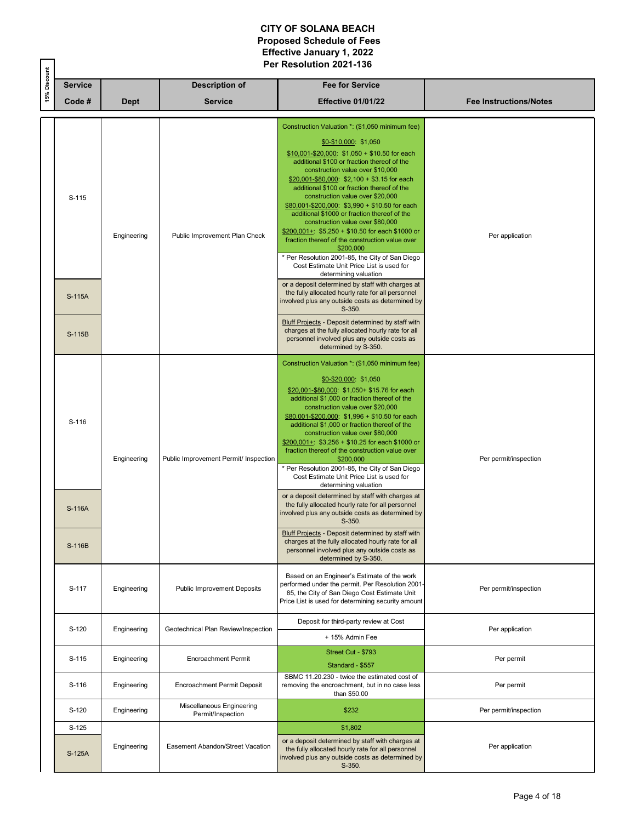|              |                   | Per Resolution 2021-136 |                                                |                                                                                                                                                                                                                                                                                                                                                                                                                                                                                                                                                                                                                                                                                                                |                               |  |  |
|--------------|-------------------|-------------------------|------------------------------------------------|----------------------------------------------------------------------------------------------------------------------------------------------------------------------------------------------------------------------------------------------------------------------------------------------------------------------------------------------------------------------------------------------------------------------------------------------------------------------------------------------------------------------------------------------------------------------------------------------------------------------------------------------------------------------------------------------------------------|-------------------------------|--|--|
| 15% Discount | <b>Service</b>    |                         | <b>Description of</b>                          | <b>Fee for Service</b>                                                                                                                                                                                                                                                                                                                                                                                                                                                                                                                                                                                                                                                                                         |                               |  |  |
|              | Code#             | <b>Dept</b>             | <b>Service</b>                                 | <b>Effective 01/01/22</b>                                                                                                                                                                                                                                                                                                                                                                                                                                                                                                                                                                                                                                                                                      | <b>Fee Instructions/Notes</b> |  |  |
|              | S-115             | Engineering             | Public Improvement Plan Check                  | Construction Valuation *: (\$1,050 minimum fee)<br>\$0-\$10,000: \$1,050<br>$$10,001 - $20,000$ : $$1,050 + $10.50$ for each<br>additional \$100 or fraction thereof of the<br>construction value over \$10,000<br>$$20,001 - $80,000$ : $$2,100 + $3.15$ for each<br>additional \$100 or fraction thereof of the<br>construction value over \$20,000<br>\$80,001-\$200,000: \$3,990 + \$10.50 for each<br>additional \$1000 or fraction thereof of the<br>construction value over \$80,000<br>$$200,001+: $5,250 + $10.50$ for each \$1000 or<br>fraction thereof of the construction value over<br>\$200,000<br>* Per Resolution 2001-85, the City of San Diego<br>Cost Estimate Unit Price List is used for | Per application               |  |  |
|              | S-115A            |                         |                                                | determining valuation<br>or a deposit determined by staff with charges at<br>the fully allocated hourly rate for all personnel<br>involved plus any outside costs as determined by<br>S-350.                                                                                                                                                                                                                                                                                                                                                                                                                                                                                                                   |                               |  |  |
|              | S-115B            |                         |                                                | <b>Bluff Projects - Deposit determined by staff with</b><br>charges at the fully allocated hourly rate for all<br>personnel involved plus any outside costs as<br>determined by S-350.                                                                                                                                                                                                                                                                                                                                                                                                                                                                                                                         |                               |  |  |
|              | S-116             | Engineering             | Public Improvement Permit/ Inspection          | Construction Valuation *: (\$1,050 minimum fee)<br>\$0-\$20,000: \$1,050<br>\$20,001-\$80,000: \$1,050+ \$15.76 for each<br>additional \$1,000 or fraction thereof of the<br>construction value over \$20,000<br>\$80,001-\$200,000: \$1,996 + \$10.50 for each<br>additional \$1,000 or fraction thereof of the<br>construction value over \$80,000<br>$$200,001+$ : \$3,256 + \$10.25 for each \$1000 or<br>fraction thereof of the construction value over<br>\$200,000<br>* Per Resolution 2001-85, the City of San Diego<br>Cost Estimate Unit Price List is used for<br>determining valuation<br>or a deposit determined by staff with charges at                                                        | Per permit/inspection         |  |  |
|              | S-116A<br>S-116B  |                         |                                                | the fully allocated hourly rate for all personnel<br>involved plus any outside costs as determined by<br>S-350.<br><b>Bluff Projects - Deposit determined by staff with</b><br>charges at the fully allocated hourly rate for all<br>personnel involved plus any outside costs as<br>determined by S-350.                                                                                                                                                                                                                                                                                                                                                                                                      |                               |  |  |
|              | S-117             | Engineering             | Public Improvement Deposits                    | Based on an Engineer's Estimate of the work<br>performed under the permit. Per Resolution 2001-<br>85, the City of San Diego Cost Estimate Unit<br>Price List is used for determining security amount                                                                                                                                                                                                                                                                                                                                                                                                                                                                                                          | Per permit/inspection         |  |  |
|              | S-120             | Engineering             | Geotechnical Plan Review/Inspection            | Deposit for third-party review at Cost<br>+ 15% Admin Fee                                                                                                                                                                                                                                                                                                                                                                                                                                                                                                                                                                                                                                                      | Per application               |  |  |
|              | S-115             | Engineering             | <b>Encroachment Permit</b>                     | Street Cut - \$793<br>Standard - \$557                                                                                                                                                                                                                                                                                                                                                                                                                                                                                                                                                                                                                                                                         | Per permit                    |  |  |
|              | S-116             | Engineering             | Encroachment Permit Deposit                    | SBMC 11.20.230 - twice the estimated cost of<br>removing the encroachment, but in no case less<br>than \$50.00                                                                                                                                                                                                                                                                                                                                                                                                                                                                                                                                                                                                 | Per permit                    |  |  |
|              | S-120             | Engineering             | Miscellaneous Engineering<br>Permit/Inspection | \$232                                                                                                                                                                                                                                                                                                                                                                                                                                                                                                                                                                                                                                                                                                          | Per permit/inspection         |  |  |
|              | $S-125$<br>S-125A | Engineering             | Easement Abandon/Street Vacation               | \$1,802<br>or a deposit determined by staff with charges at<br>the fully allocated hourly rate for all personnel<br>involved plus any outside costs as determined by<br>S-350.                                                                                                                                                                                                                                                                                                                                                                                                                                                                                                                                 | Per application               |  |  |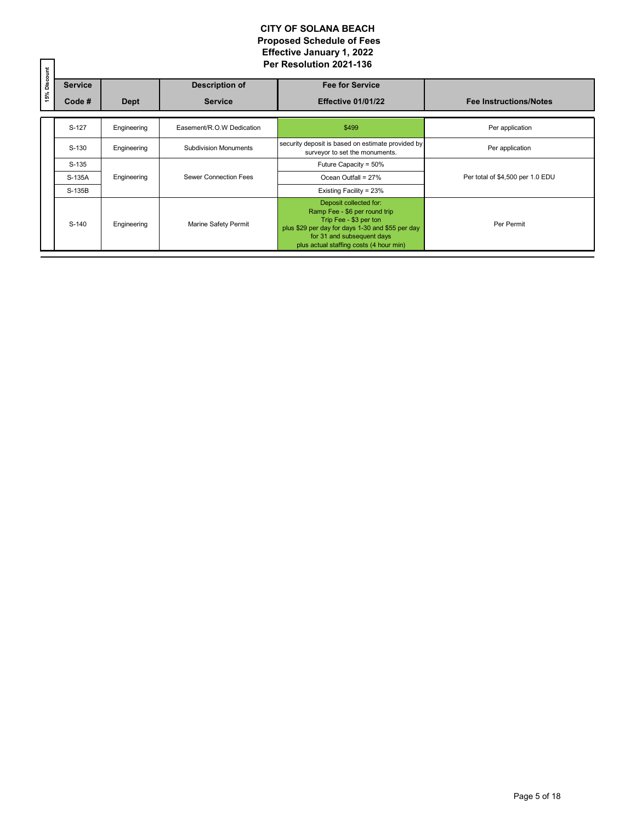| 15% Discount | <b>Service</b> |             | <b>Description of</b>        | <b>Fee for Service</b>                                                                                                                                                                                         |                                  |
|--------------|----------------|-------------|------------------------------|----------------------------------------------------------------------------------------------------------------------------------------------------------------------------------------------------------------|----------------------------------|
|              | Code #         | <b>Dept</b> | <b>Service</b>               | <b>Effective 01/01/22</b>                                                                                                                                                                                      | <b>Fee Instructions/Notes</b>    |
|              | S-127          | Engineering | Easement/R.O.W Dedication    | \$499                                                                                                                                                                                                          | Per application                  |
|              | S-130          | Engineering | <b>Subdivision Monuments</b> | security deposit is based on estimate provided by<br>surveyor to set the monuments.                                                                                                                            | Per application                  |
|              | $S-135$        |             |                              | Future Capacity = 50%                                                                                                                                                                                          |                                  |
|              | S-135A         | Engineering | Sewer Connection Fees        | Ocean Outfall = 27%                                                                                                                                                                                            | Per total of \$4,500 per 1.0 EDU |
|              | S-135B         |             |                              | Existing Facility = 23%                                                                                                                                                                                        |                                  |
|              | S-140          | Engineering | Marine Safety Permit         | Deposit collected for:<br>Ramp Fee - \$6 per round trip<br>Trip Fee - \$3 per ton<br>plus \$29 per day for days 1-30 and \$55 per day<br>for 31 and subsequent days<br>plus actual staffing costs (4 hour min) | Per Permit                       |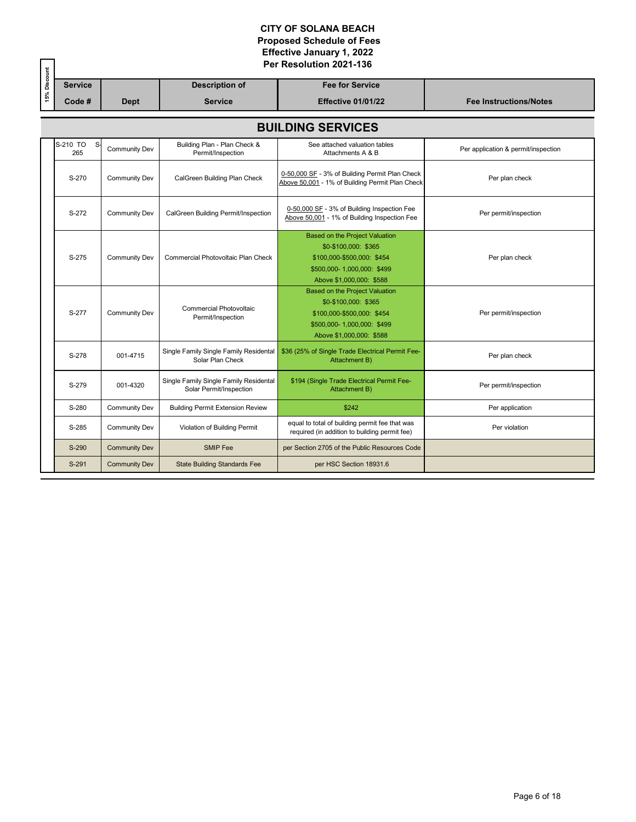|              |                          | Per Resolution 2021-136 |                                                                   |                                                                                                                                                       |                                     |  |  |  |
|--------------|--------------------------|-------------------------|-------------------------------------------------------------------|-------------------------------------------------------------------------------------------------------------------------------------------------------|-------------------------------------|--|--|--|
| 15% Discount | <b>Service</b>           |                         | <b>Description of</b>                                             | <b>Fee for Service</b>                                                                                                                                |                                     |  |  |  |
|              | Code #                   | <b>Dept</b>             | <b>Service</b>                                                    | <b>Effective 01/01/22</b>                                                                                                                             | <b>Fee Instructions/Notes</b>       |  |  |  |
|              | <b>BUILDING SERVICES</b> |                         |                                                                   |                                                                                                                                                       |                                     |  |  |  |
|              | S-210 TO<br>S.<br>265    | Community Dev           | Building Plan - Plan Check &<br>Permit/Inspection                 | See attached valuation tables<br>Attachments A & B                                                                                                    | Per application & permit/inspection |  |  |  |
|              | S-270                    | <b>Community Dev</b>    | CalGreen Building Plan Check                                      | 0-50,000 SF - 3% of Building Permit Plan Check<br>Above 50,001 - 1% of Building Permit Plan Check                                                     | Per plan check                      |  |  |  |
|              | S-272                    | <b>Community Dev</b>    | CalGreen Building Permit/Inspection                               | 0-50,000 SF - 3% of Building Inspection Fee<br>Above 50,001 - 1% of Building Inspection Fee                                                           | Per permit/inspection               |  |  |  |
|              | S-275                    | <b>Community Dev</b>    | Commercial Photovoltaic Plan Check                                | <b>Based on the Project Valuation</b><br>\$0-\$100,000: \$365<br>\$100,000-\$500,000: \$454<br>\$500,000-1,000,000: \$499<br>Above \$1,000,000: \$588 | Per plan check                      |  |  |  |
|              | S-277                    | Community Dev           | <b>Commercial Photovoltaic</b><br>Permit/Inspection               | Based on the Project Valuation<br>\$0-\$100,000: \$365<br>\$100,000-\$500,000: \$454<br>\$500,000-1,000,000: \$499<br>Above \$1,000,000: \$588        | Per permit/inspection               |  |  |  |
|              | S-278                    | 001-4715                | Single Family Single Family Residental<br>Solar Plan Check        | \$36 (25% of Single Trade Electrical Permit Fee-<br>Attachment B)                                                                                     | Per plan check                      |  |  |  |
|              | S-279                    | 001-4320                | Single Family Single Family Residental<br>Solar Permit/Inspection | \$194 (Single Trade Electrical Permit Fee-<br>Attachment B)                                                                                           | Per permit/inspection               |  |  |  |
|              | S-280                    | <b>Community Dev</b>    | <b>Building Permit Extension Review</b>                           | \$242                                                                                                                                                 | Per application                     |  |  |  |
|              | S-285                    | <b>Community Dev</b>    | Violation of Building Permit                                      | equal to total of building permit fee that was<br>required (in addition to building permit fee)                                                       | Per violation                       |  |  |  |
|              | S-290                    | <b>Community Dev</b>    | <b>SMIP</b> Fee                                                   | per Section 2705 of the Public Resources Code                                                                                                         |                                     |  |  |  |
|              | S-291                    | <b>Community Dev</b>    | <b>State Building Standards Fee</b>                               | per HSC Section 18931.6                                                                                                                               |                                     |  |  |  |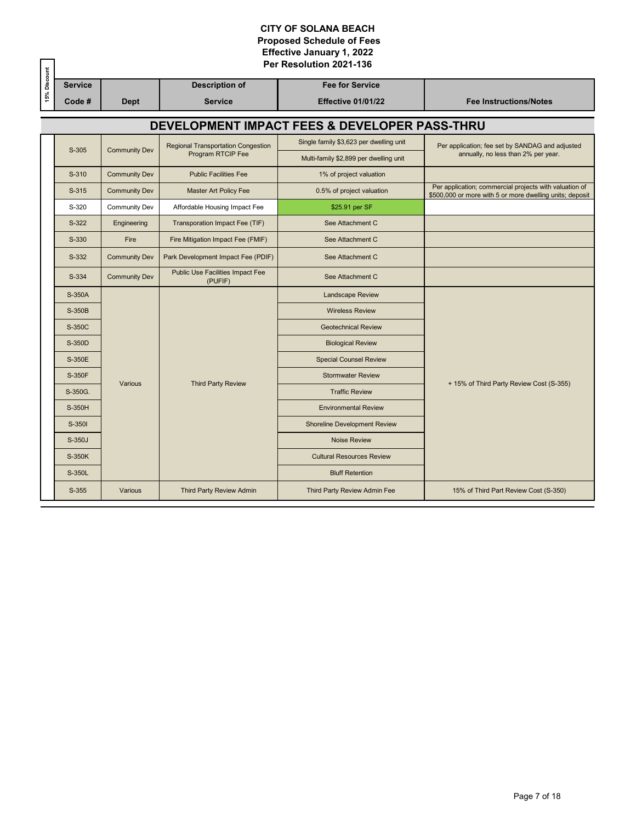|              |                                               |                      |                                             | Per Resolution 2021-136                 |                                                                                                                    |  |  |  |  |
|--------------|-----------------------------------------------|----------------------|---------------------------------------------|-----------------------------------------|--------------------------------------------------------------------------------------------------------------------|--|--|--|--|
| 15% Discount | <b>Service</b>                                |                      | <b>Description of</b>                       | <b>Fee for Service</b>                  |                                                                                                                    |  |  |  |  |
|              | Code #                                        | <b>Dept</b>          | <b>Service</b>                              | <b>Effective 01/01/22</b>               | <b>Fee Instructions/Notes</b>                                                                                      |  |  |  |  |
|              | DEVELOPMENT IMPACT FEES & DEVELOPER PASS-THRU |                      |                                             |                                         |                                                                                                                    |  |  |  |  |
|              | $S-305$                                       | <b>Community Dev</b> | <b>Regional Transportation Congestion</b>   | Single family \$3,623 per dwelling unit | Per application; fee set by SANDAG and adjusted                                                                    |  |  |  |  |
|              |                                               |                      | Program RTCIP Fee                           | Multi-family \$2,899 per dwelling unit  | annually, no less than 2% per year.                                                                                |  |  |  |  |
|              | S-310                                         | <b>Community Dev</b> | <b>Public Facilities Fee</b>                | 1% of project valuation                 |                                                                                                                    |  |  |  |  |
|              | S-315                                         | <b>Community Dev</b> | <b>Master Art Policy Fee</b>                | 0.5% of project valuation               | Per application; commercial projects with valuation of<br>\$500,000 or more with 5 or more dwelling units; deposit |  |  |  |  |
|              | S-320                                         | <b>Community Dev</b> | Affordable Housing Impact Fee               | \$25.91 per SF                          |                                                                                                                    |  |  |  |  |
|              | $S-322$                                       | Engineering          | Transporation Impact Fee (TIF)              | See Attachment C                        |                                                                                                                    |  |  |  |  |
|              | S-330                                         | Fire                 | Fire Mitigation Impact Fee (FMIF)           | See Attachment C                        |                                                                                                                    |  |  |  |  |
|              | S-332                                         | <b>Community Dev</b> | Park Development Impact Fee (PDIF)          | See Attachment C                        |                                                                                                                    |  |  |  |  |
|              | S-334                                         | <b>Community Dev</b> | Public Use Facilities Impact Fee<br>(PUFIF) | See Attachment C                        |                                                                                                                    |  |  |  |  |
|              | S-350A                                        |                      | <b>Landscape Review</b>                     |                                         |                                                                                                                    |  |  |  |  |
|              | S-350B                                        |                      | <b>Wireless Review</b>                      |                                         |                                                                                                                    |  |  |  |  |
|              | S-350C                                        |                      |                                             | <b>Geotechnical Review</b>              |                                                                                                                    |  |  |  |  |
|              | S-350D                                        |                      |                                             | <b>Biological Review</b>                |                                                                                                                    |  |  |  |  |
|              | S-350E                                        |                      |                                             | <b>Special Counsel Review</b>           |                                                                                                                    |  |  |  |  |
|              | S-350F                                        | Various              | <b>Third Party Review</b>                   | <b>Stormwater Review</b>                | + 15% of Third Party Review Cost (S-355)                                                                           |  |  |  |  |
|              | S-350G.                                       |                      |                                             | <b>Traffic Review</b>                   |                                                                                                                    |  |  |  |  |
|              | S-350H                                        |                      |                                             | <b>Environmental Review</b>             |                                                                                                                    |  |  |  |  |
|              | S-350I                                        |                      |                                             | <b>Shoreline Development Review</b>     |                                                                                                                    |  |  |  |  |
|              | S-350J                                        |                      |                                             | <b>Noise Review</b>                     |                                                                                                                    |  |  |  |  |
|              | S-350K                                        |                      |                                             | <b>Cultural Resources Review</b>        |                                                                                                                    |  |  |  |  |
|              | S-350L                                        |                      |                                             | <b>Bluff Retention</b>                  |                                                                                                                    |  |  |  |  |
|              | $S-355$                                       | Various              | <b>Third Party Review Admin</b>             | Third Party Review Admin Fee            | 15% of Third Part Review Cost (S-350)                                                                              |  |  |  |  |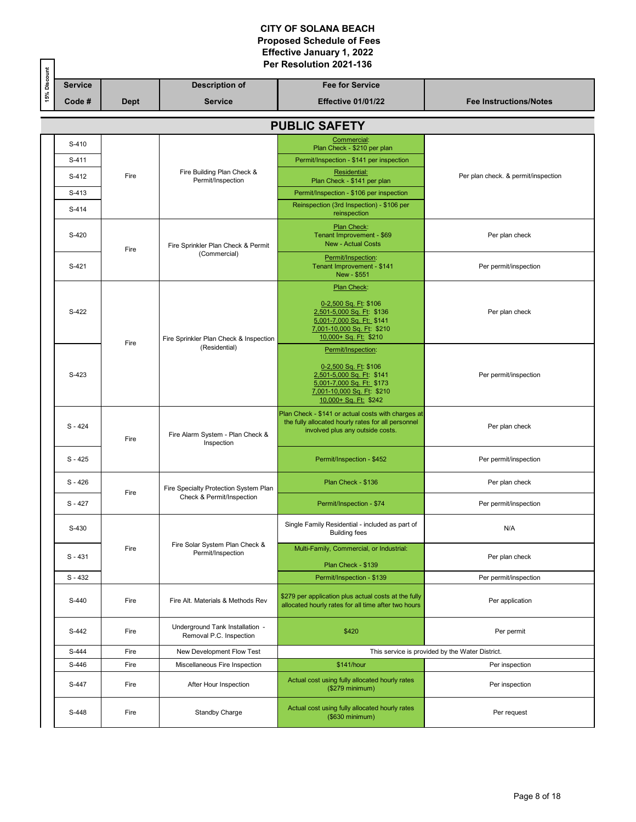|              |                | Per Resolution 2021-136 |                                                            |                                                                                                                                                              |                                                 |  |  |  |
|--------------|----------------|-------------------------|------------------------------------------------------------|--------------------------------------------------------------------------------------------------------------------------------------------------------------|-------------------------------------------------|--|--|--|
| 15% Discount | <b>Service</b> |                         | <b>Description of</b>                                      | <b>Fee for Service</b>                                                                                                                                       |                                                 |  |  |  |
|              | Code#          | <b>Dept</b>             | <b>Service</b>                                             | Effective 01/01/22                                                                                                                                           | <b>Fee Instructions/Notes</b>                   |  |  |  |
|              |                |                         |                                                            | <b>PUBLIC SAFETY</b>                                                                                                                                         |                                                 |  |  |  |
|              | S-410          |                         |                                                            | Commercial:                                                                                                                                                  |                                                 |  |  |  |
|              | S-411          |                         |                                                            | Plan Check - \$210 per plan                                                                                                                                  |                                                 |  |  |  |
|              | S-412          | Fire                    | Fire Building Plan Check &                                 | Permit/Inspection - \$141 per inspection<br>Residential:                                                                                                     | Per plan check. & permit/inspection             |  |  |  |
|              | S-413          |                         | Permit/Inspection                                          | Plan Check - \$141 per plan                                                                                                                                  |                                                 |  |  |  |
|              |                |                         |                                                            | Permit/Inspection - \$106 per inspection<br>Reinspection (3rd Inspection) - \$106 per                                                                        |                                                 |  |  |  |
|              | S-414          |                         |                                                            | reinspection                                                                                                                                                 |                                                 |  |  |  |
|              | S-420          | Fire                    | Fire Sprinkler Plan Check & Permit                         | Plan Check:<br>Tenant Improvement - \$69<br><b>New - Actual Costs</b>                                                                                        | Per plan check                                  |  |  |  |
|              | S-421          |                         | (Commercial)                                               | Permit/Inspection:<br>Tenant Improvement - \$141<br>New - \$551                                                                                              | Per permit/inspection                           |  |  |  |
|              | S-422          | Fire                    | Fire Sprinkler Plan Check & Inspection                     | Plan Check:<br>0-2,500 Sq. Ft: \$106<br>2,501-5,000 Sq. Ft: \$136<br>5,001-7,000 Sq. Ft: \$141<br>7,001-10,000 Sq. Ft: \$210<br>10,000+ Sq. Ft: \$210        | Per plan check                                  |  |  |  |
|              | S-423          |                         | (Residential)                                              | Permit/Inspection:<br>0-2,500 Sq. Ft: \$106<br>2,501-5,000 Sq. Ft: \$141<br>5,001-7,000 Sq. Ft: \$173<br>7,001-10,000 Sq. Ft: \$210<br>10,000+ Sq. Ft: \$242 | Per permit/inspection                           |  |  |  |
|              | $S - 424$      | Fire                    | Fire Alarm System - Plan Check &<br>Inspection             | Plan Check - \$141 or actual costs with charges at<br>the fully allocated hourly rates for all personnel<br>involved plus any outside costs.                 | Per plan check                                  |  |  |  |
|              | $S - 425$      |                         |                                                            | Permit/Inspection - \$452                                                                                                                                    | Per permit/inspection                           |  |  |  |
|              | $S - 426$      | Fire                    | Fire Specialty Protection System Plan                      | Plan Check - \$136                                                                                                                                           | Per plan check                                  |  |  |  |
|              | $S - 427$      |                         | Check & Permit/Inspection                                  | Permit/Inspection - \$74                                                                                                                                     | Per permit/inspection                           |  |  |  |
|              | S-430          |                         |                                                            | Single Family Residential - included as part of<br><b>Building fees</b>                                                                                      | N/A                                             |  |  |  |
|              | $S - 431$      | Fire                    | Fire Solar System Plan Check &<br>Permit/Inspection        | Multi-Family, Commercial, or Industrial:<br>Plan Check - \$139                                                                                               | Per plan check                                  |  |  |  |
|              | $S - 432$      |                         |                                                            | Permit/Inspection - \$139                                                                                                                                    | Per permit/inspection                           |  |  |  |
|              | S-440          | Fire                    | Fire Alt. Materials & Methods Rev                          | \$279 per application plus actual costs at the fully<br>allocated hourly rates for all time after two hours                                                  | Per application                                 |  |  |  |
|              | S-442          | Fire                    | Underground Tank Installation -<br>Removal P.C. Inspection | \$420                                                                                                                                                        | Per permit                                      |  |  |  |
|              | S-444          | Fire                    | New Development Flow Test                                  |                                                                                                                                                              | This service is provided by the Water District. |  |  |  |
|              | S-446          | Fire                    | Miscellaneous Fire Inspection                              | \$141/hour                                                                                                                                                   | Per inspection                                  |  |  |  |
|              | S-447          | Fire                    | After Hour Inspection                                      | Actual cost using fully allocated hourly rates<br>(\$279 minimum)                                                                                            | Per inspection                                  |  |  |  |
|              | S-448          | Fire                    | <b>Standby Charge</b>                                      | Actual cost using fully allocated hourly rates<br>(\$630 minimum)                                                                                            | Per request                                     |  |  |  |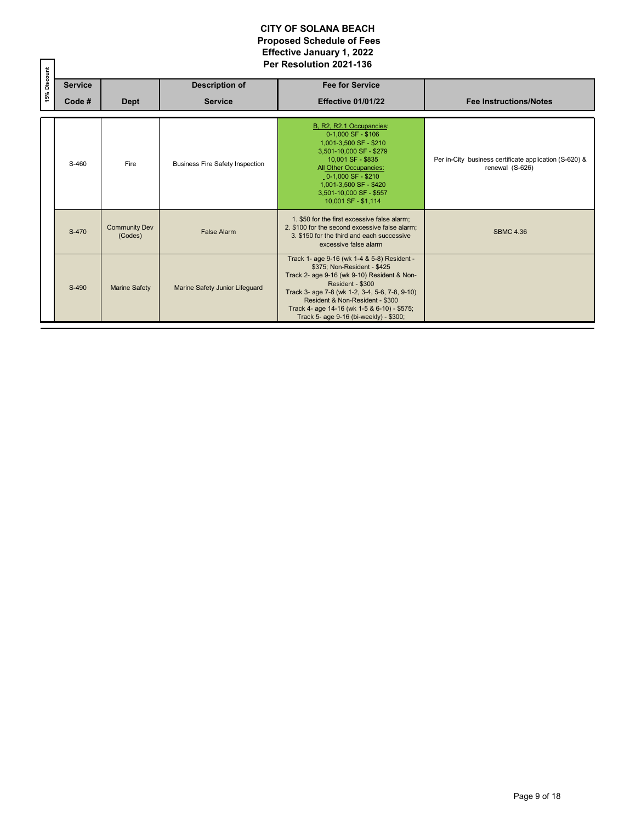|              |                |                                 |                                        | Per Resolution 2021-136                                                                                                                                                                                                                                                                                                     |                                                                           |
|--------------|----------------|---------------------------------|----------------------------------------|-----------------------------------------------------------------------------------------------------------------------------------------------------------------------------------------------------------------------------------------------------------------------------------------------------------------------------|---------------------------------------------------------------------------|
| 15% Discount | <b>Service</b> |                                 | <b>Description of</b>                  | <b>Fee for Service</b>                                                                                                                                                                                                                                                                                                      |                                                                           |
|              | Code#          | <b>Dept</b>                     | <b>Service</b>                         | Effective 01/01/22                                                                                                                                                                                                                                                                                                          | <b>Fee Instructions/Notes</b>                                             |
|              | S-460          | Fire                            | <b>Business Fire Safety Inspection</b> | B, R2, R2.1 Occupancies:<br>$0-1.000$ SF - \$106<br>1,001-3,500 SF - \$210<br>3,501-10,000 SF - \$279<br>10.001 SF - \$835<br>All Other Occupancies:<br>0-1,000 SF - \$210<br>1,001-3,500 SF - \$420<br>3.501-10.000 SF - \$557<br>10,001 SF - \$1,114                                                                      | Per in-City business certificate application (S-620) &<br>renewal (S-626) |
|              | S-470          | <b>Community Dev</b><br>(Codes) | <b>False Alarm</b>                     | 1. \$50 for the first excessive false alarm;<br>2. \$100 for the second excessive false alarm:<br>3. \$150 for the third and each successive<br>excessive false alarm                                                                                                                                                       | <b>SBMC 4.36</b>                                                          |
|              | S-490          | <b>Marine Safety</b>            | Marine Safety Junior Lifequard         | Track 1- age 9-16 (wk 1-4 & 5-8) Resident -<br>\$375; Non-Resident - \$425<br>Track 2- age 9-16 (wk 9-10) Resident & Non-<br>Resident - \$300<br>Track 3- age 7-8 (wk 1-2, 3-4, 5-6, 7-8, 9-10)<br>Resident & Non-Resident - \$300<br>Track 4- age 14-16 (wk 1-5 & 6-10) - \$575;<br>Track 5- age 9-16 (bi-weekly) - \$300; |                                                                           |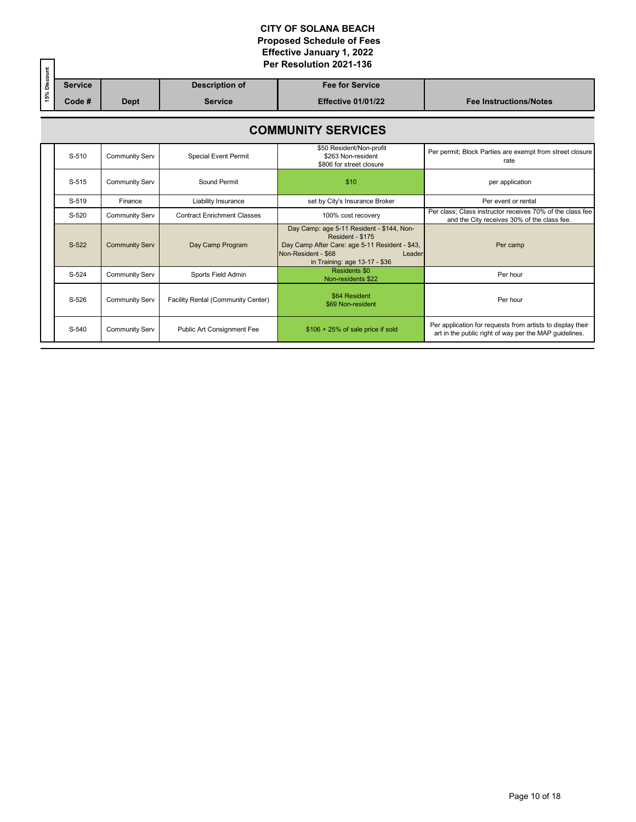|              |                           |                | Per Resolution 2021-136 |                                    |                                                                                                                                                                                   |                                                                                                                      |  |  |  |  |
|--------------|---------------------------|----------------|-------------------------|------------------------------------|-----------------------------------------------------------------------------------------------------------------------------------------------------------------------------------|----------------------------------------------------------------------------------------------------------------------|--|--|--|--|
| 15% Discount |                           | <b>Service</b> |                         | <b>Description of</b>              | <b>Fee for Service</b>                                                                                                                                                            |                                                                                                                      |  |  |  |  |
|              |                           | Code #         | <b>Dept</b>             | <b>Service</b>                     | <b>Effective 01/01/22</b>                                                                                                                                                         | <b>Fee Instructions/Notes</b>                                                                                        |  |  |  |  |
|              | <b>COMMUNITY SERVICES</b> |                |                         |                                    |                                                                                                                                                                                   |                                                                                                                      |  |  |  |  |
|              |                           | S-510          | Community Serv          | <b>Special Event Permit</b>        | \$50 Resident/Non-profit<br>\$263 Non-resident<br>\$806 for street closure                                                                                                        | Per permit; Block Parties are exempt from street closure<br>rate                                                     |  |  |  |  |
|              |                           | S-515          | <b>Community Serv</b>   | Sound Permit                       | \$10                                                                                                                                                                              | per application                                                                                                      |  |  |  |  |
|              |                           | S-519          | Finance                 | Liability Insurance                | set by City's Insurance Broker                                                                                                                                                    | Per event or rental                                                                                                  |  |  |  |  |
|              |                           | S-520          | <b>Community Serv</b>   | <b>Contract Enrichment Classes</b> | 100% cost recovery                                                                                                                                                                | Per class: Class instructor receives 70% of the class fee<br>and the City receives 30% of the class fee.             |  |  |  |  |
|              |                           | S-522          | <b>Community Serv</b>   | Day Camp Program                   | Day Camp: age 5-11 Resident - \$144, Non-<br>Resident - \$175<br>Day Camp After Care: age 5-11 Resident - \$43,<br>Non-Resident - \$68<br>Leader<br>in Training: age 13-17 - \$36 | Per camp                                                                                                             |  |  |  |  |
|              |                           | $S-524$        | <b>Community Serv</b>   | Sports Field Admin                 | <b>Residents \$0</b><br>Non-residents \$22                                                                                                                                        | Per hour                                                                                                             |  |  |  |  |
|              |                           | S-526          | <b>Community Serv</b>   | Facility Rental (Community Center) | \$64 Resident<br>\$69 Non-resident                                                                                                                                                | Per hour                                                                                                             |  |  |  |  |
|              |                           | S-540          | <b>Community Serv</b>   | Public Art Consignment Fee         | $$106 + 25\%$ of sale price if sold                                                                                                                                               | Per application for requests from artists to display their<br>art in the public right of way per the MAP quidelines. |  |  |  |  |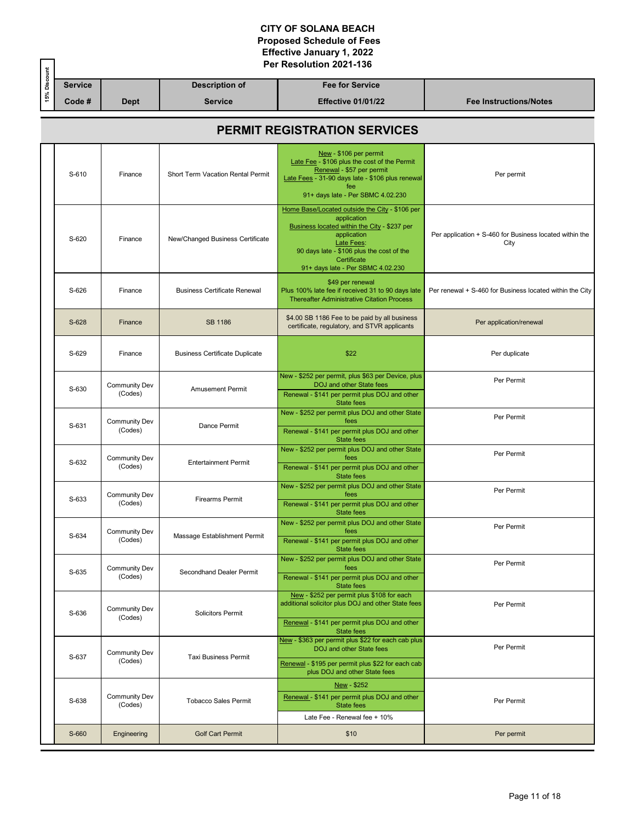| s. |         |             |                | Per Resolution 2021-136   |                        |
|----|---------|-------------|----------------|---------------------------|------------------------|
|    | Service |             | Description of | <b>Fee for Service</b>    |                        |
|    | Code #  | <b>Dept</b> | <b>Service</b> | <b>Effective 01/01/22</b> | Fee Instructions/Notes |

# **PERMIT REGISTRATION SERVICES**

| S-610 | Finance                         | Short Term Vacation Rental Permit     | New - \$106 per permit<br>Late Fee - \$106 plus the cost of the Permit<br>Renewal - \$57 per permit<br>Late Fees - 31-90 days late - \$106 plus renewal<br>fee<br>91+ days late - Per SBMC 4.02.230                                         | Per permit                                                      |  |  |  |  |
|-------|---------------------------------|---------------------------------------|---------------------------------------------------------------------------------------------------------------------------------------------------------------------------------------------------------------------------------------------|-----------------------------------------------------------------|--|--|--|--|
| S-620 | Finance                         | New/Changed Business Certificate      | Home Base/Located outside the City - \$106 per<br>application<br>Business located within the City - \$237 per<br>application<br>Late Fees:<br>90 days late - \$106 plus the cost of the<br>Certificate<br>91+ days late - Per SBMC 4.02.230 | Per application + S-460 for Business located within the<br>City |  |  |  |  |
| S-626 | Finance                         | <b>Business Certificate Renewal</b>   | \$49 per renewal<br>Plus 100% late fee if received 31 to 90 days late<br><b>Thereafter Administrative Citation Process</b>                                                                                                                  | Per renewal + S-460 for Business located within the City        |  |  |  |  |
| S-628 | Finance                         | SB 1186                               | \$4.00 SB 1186 Fee to be paid by all business<br>certificate, regulatory, and STVR applicants                                                                                                                                               | Per application/renewal                                         |  |  |  |  |
| S-629 | Finance                         | <b>Business Certificate Duplicate</b> | \$22                                                                                                                                                                                                                                        | Per duplicate                                                   |  |  |  |  |
| S-630 | <b>Community Dev</b><br>(Codes) | <b>Amusement Permit</b>               | New - \$252 per permit, plus \$63 per Device, plus<br>DOJ and other State fees<br>Renewal - \$141 per permit plus DOJ and other<br>State fees                                                                                               | Per Permit                                                      |  |  |  |  |
| S-631 | <b>Community Dev</b><br>(Codes) | Dance Permit                          | New - \$252 per permit plus DOJ and other State<br>fees<br>Renewal - \$141 per permit plus DOJ and other<br><b>State fees</b>                                                                                                               | Per Permit                                                      |  |  |  |  |
| S-632 | <b>Community Dev</b><br>(Codes) | <b>Entertainment Permit</b>           | New - \$252 per permit plus DOJ and other State<br>fees<br>Renewal - \$141 per permit plus DOJ and other<br>State fees                                                                                                                      | Per Permit                                                      |  |  |  |  |
| S-633 | <b>Community Dev</b><br>(Codes) | <b>Firearms Permit</b>                | New - \$252 per permit plus DOJ and other State<br>fees<br>Renewal - \$141 per permit plus DOJ and other<br>State fees                                                                                                                      | Per Permit                                                      |  |  |  |  |
| S-634 | Community Dev<br>(Codes)        | Massage Establishment Permit          | New - \$252 per permit plus DOJ and other State<br>fees<br>Renewal - \$141 per permit plus DOJ and other<br><b>State fees</b>                                                                                                               | Per Permit                                                      |  |  |  |  |
| S-635 | Community Dev<br>(Codes)        | Secondhand Dealer Permit              | New - \$252 per permit plus DOJ and other State<br>fees<br>Renewal - \$141 per permit plus DOJ and other<br>State fees                                                                                                                      | Per Permit                                                      |  |  |  |  |
| S-636 | <b>Community Dev</b><br>(Codes) | <b>Solicitors Permit</b>              | New - \$252 per permit plus \$108 for each<br>additional solicitor plus DOJ and other State fees<br>Renewal - \$141 per permit plus DOJ and other<br><b>State fees</b>                                                                      | Per Permit                                                      |  |  |  |  |
| S-637 | <b>Community Dev</b><br>(Codes) | <b>Taxi Business Permit</b>           | New - \$363 per permit plus \$22 for each cab plus<br>DOJ and other State fees<br>Renewal - \$195 per permit plus \$22 for each cab<br>plus DOJ and other State fees                                                                        | Per Permit                                                      |  |  |  |  |
| S-638 | <b>Community Dev</b><br>(Codes) | <b>Tobacco Sales Permit</b>           | New - \$252<br>Renewal - \$141 per permit plus DOJ and other<br><b>State fees</b><br>Late Fee - Renewal fee + 10%                                                                                                                           | Per Permit                                                      |  |  |  |  |
| S-660 | Engineering                     | <b>Golf Cart Permit</b>               | \$10                                                                                                                                                                                                                                        | Per permit                                                      |  |  |  |  |
|       |                                 |                                       |                                                                                                                                                                                                                                             |                                                                 |  |  |  |  |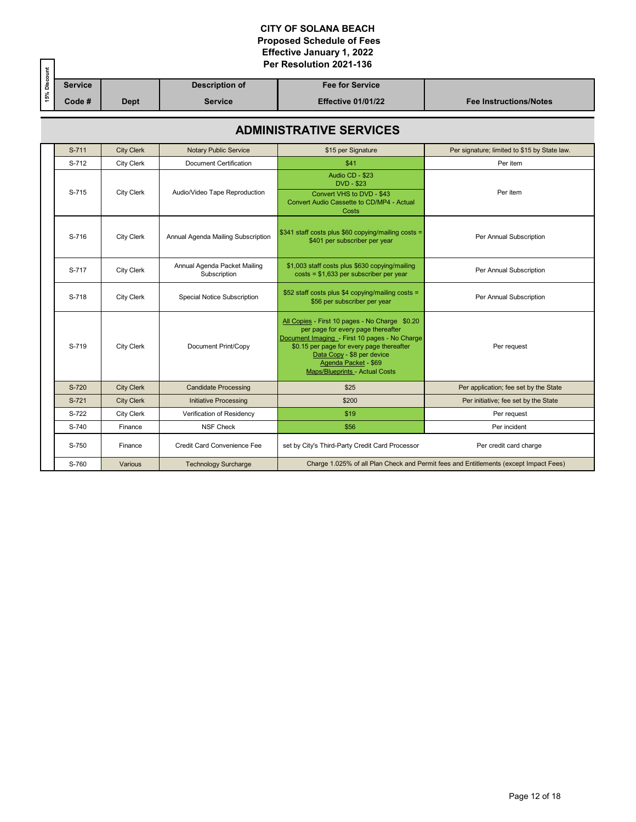|         | Per Resolution 2021-136 |                |                           |                               |
|---------|-------------------------|----------------|---------------------------|-------------------------------|
| Service |                         | Description of | <b>Fee for Service</b>    |                               |
| Code #  | <b>Dept</b>             | <b>Service</b> | <b>Effective 01/01/22</b> | <b>Fee Instructions/Notes</b> |

## **ADMINISTRATIVE SERVICES**

| S-711 | <b>City Clerk</b> | <b>Notary Public Service</b>                 | \$15 per Signature                                                                                                                                                                                                                                                         | Per signature; limited to \$15 by State law.                                          |  |
|-------|-------------------|----------------------------------------------|----------------------------------------------------------------------------------------------------------------------------------------------------------------------------------------------------------------------------------------------------------------------------|---------------------------------------------------------------------------------------|--|
| S-712 | <b>City Clerk</b> | <b>Document Certification</b>                | \$41                                                                                                                                                                                                                                                                       | Per item                                                                              |  |
| S-715 | <b>City Clerk</b> | Audio/Video Tape Reproduction                | Audio CD - \$23<br><b>DVD - \$23</b>                                                                                                                                                                                                                                       | Per item                                                                              |  |
|       |                   |                                              | Convert VHS to DVD - \$43<br>Convert Audio Cassette to CD/MP4 - Actual<br>Costs                                                                                                                                                                                            |                                                                                       |  |
| S-716 | <b>City Clerk</b> | Annual Agenda Mailing Subscription           | \$341 staff costs plus \$60 copying/mailing costs =<br>\$401 per subscriber per year                                                                                                                                                                                       | Per Annual Subscription                                                               |  |
| S-717 | <b>City Clerk</b> | Annual Agenda Packet Mailing<br>Subscription | \$1,003 staff costs plus \$630 copying/mailing<br>$costs = $1,633$ per subscriber per year                                                                                                                                                                                 | Per Annual Subscription                                                               |  |
| S-718 | <b>City Clerk</b> | Special Notice Subscription                  | \$52 staff costs plus \$4 copying/mailing costs =<br>\$56 per subscriber per year                                                                                                                                                                                          | Per Annual Subscription                                                               |  |
| S-719 | <b>City Clerk</b> | Document Print/Copy                          | All Copies - First 10 pages - No Charge \$0.20<br>per page for every page thereafter<br>Document Imaging - First 10 pages - No Charge<br>\$0.15 per page for every page thereafter<br>Data Copy - \$8 per device<br>Agenda Packet - \$69<br>Maps/Blueprints - Actual Costs | Per request                                                                           |  |
| S-720 | <b>City Clerk</b> | <b>Candidate Processing</b>                  | \$25                                                                                                                                                                                                                                                                       | Per application; fee set by the State                                                 |  |
| S-721 | <b>City Clerk</b> | <b>Initiative Processing</b>                 | \$200                                                                                                                                                                                                                                                                      | Per initiative; fee set by the State                                                  |  |
| S-722 | <b>City Clerk</b> | Verification of Residency                    | \$19                                                                                                                                                                                                                                                                       | Per request                                                                           |  |
| S-740 | Finance           | <b>NSF Check</b>                             | \$56                                                                                                                                                                                                                                                                       | Per incident                                                                          |  |
| S-750 | Finance           | Credit Card Convenience Fee                  | set by City's Third-Party Credit Card Processor                                                                                                                                                                                                                            | Per credit card charge                                                                |  |
| S-760 | Various           | <b>Technology Surcharge</b>                  |                                                                                                                                                                                                                                                                            | Charge 1.025% of all Plan Check and Permit fees and Entitlements (except Impact Fees) |  |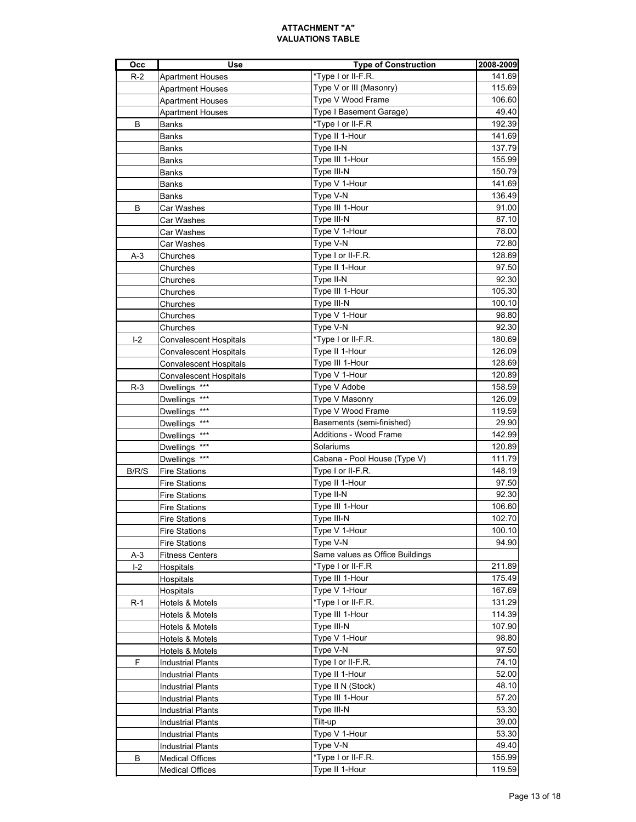| Occ            | <b>Use</b>                    | <b>Type of Construction</b>     | 2008-2009      |
|----------------|-------------------------------|---------------------------------|----------------|
| $R-2$          | <b>Apartment Houses</b>       | *Type I or II-F.R.              | 141.69         |
|                | <b>Apartment Houses</b>       | Type V or III (Masonry)         | 115.69         |
|                | <b>Apartment Houses</b>       | Type V Wood Frame               | 106.60         |
|                | <b>Apartment Houses</b>       | Type I Basement Garage)         | 49.40          |
| в              | Banks                         | *Type I or II-F.R               | 192.39         |
|                | Banks                         | Type II 1-Hour                  | 141.69         |
|                | Banks                         | Type II-N                       | 137.79         |
|                | Banks                         | Type III 1-Hour                 | 155.99         |
|                | Banks                         | Type III-N                      | 150.79         |
|                | Banks                         | Type V 1-Hour                   | 141.69         |
|                | Banks                         | Type V-N                        | 136.49         |
| в              | Car Washes                    | Type III 1-Hour                 | 91.00          |
|                | Car Washes                    | Type III-N                      | 87.10          |
|                |                               | Type V 1-Hour                   | 78.00          |
|                | Car Washes                    |                                 | 72.80          |
|                | Car Washes                    | Type V-N                        |                |
| A-3            | Churches                      | Type I or II-F.R.               | 128.69         |
|                | Churches                      | Type II 1-Hour                  | 97.50          |
|                | Churches                      | Type II-N                       | 92.30          |
|                | Churches                      | Type III 1-Hour                 | 105.30         |
|                | Churches                      | Type III-N                      | 100.10         |
|                | Churches                      | Type V 1-Hour                   | 98.80          |
|                | Churches                      | Type V-N                        | 92.30          |
| L <sub>2</sub> | Convalescent Hospitals        | *Type I or II-F.R.              | 180.69         |
|                | Convalescent Hospitals        | Type II 1-Hour                  | 126.09         |
|                | <b>Convalescent Hospitals</b> | Type III 1-Hour                 | 128.69         |
|                | <b>Convalescent Hospitals</b> | Type V 1-Hour                   | 120.89         |
| $R-3$          | Dwellings ***                 | Type V Adobe                    | 158.59         |
|                | Dwellings ***                 | Type V Masonry                  | 126.09         |
|                | Dwellings ***                 | Type V Wood Frame               | 119.59         |
|                | Dwellings ***                 | Basements (semi-finished)       | 29.90          |
|                | Dwellings ***                 | Additions - Wood Frame          | 142.99         |
|                | Dwellings ***                 | Solariums                       | 120.89         |
|                | Dwellings ***                 | Cabana - Pool House (Type V)    | 111.79         |
| B/R/S          | <b>Fire Stations</b>          | Type I or II-F.R.               | 148.19         |
|                | <b>Fire Stations</b>          | Type II 1-Hour                  | 97.50          |
|                | <b>Fire Stations</b>          | Type II-N                       | 92.30          |
|                | <b>Fire Stations</b>          | Type III 1-Hour                 | 106.60         |
|                | <b>Fire Stations</b>          | Type III-N                      | 102.70         |
|                | <b>Fire Stations</b>          | Type V 1-Hour                   | 100.10         |
|                | <b>Fire Stations</b>          | Type V-N                        | 94.90          |
| $A-3$          | <b>Fitness Centers</b>        | Same values as Office Buildings |                |
| $I-2$          | Hospitals                     | *Type I or II-F.R               | 211.89         |
|                | Hospitals                     | Type III 1-Hour                 | 175.49         |
|                | Hospitals                     | Type V 1-Hour                   | 167.69         |
| R-1            | Hotels & Motels               | *Type I or II-F.R.              | 131.29         |
|                | Hotels & Motels               | Type III 1-Hour                 | 114.39         |
|                | Hotels & Motels               | Type III-N                      | 107.90         |
|                |                               |                                 |                |
|                | Hotels & Motels               | Type V 1-Hour<br>Type V-N       | 98.80<br>97.50 |
|                | Hotels & Motels               |                                 |                |
| F              | <b>Industrial Plants</b>      | Type I or II-F.R.               | 74.10          |
|                | <b>Industrial Plants</b>      | Type II 1-Hour                  | 52.00          |
|                | <b>Industrial Plants</b>      | Type II N (Stock)               | 48.10          |
|                | <b>Industrial Plants</b>      | Type III 1-Hour                 | 57.20          |
|                | <b>Industrial Plants</b>      | Type III-N                      | 53.30          |
|                | <b>Industrial Plants</b>      | Tilt-up                         | 39.00          |
|                | <b>Industrial Plants</b>      | Type V 1-Hour                   | 53.30          |
|                | <b>Industrial Plants</b>      | Type V-N                        | 49.40          |
| В              | <b>Medical Offices</b>        | *Type I or II-F.R.              | 155.99         |
|                | <b>Medical Offices</b>        | Type II 1-Hour                  | 119.59         |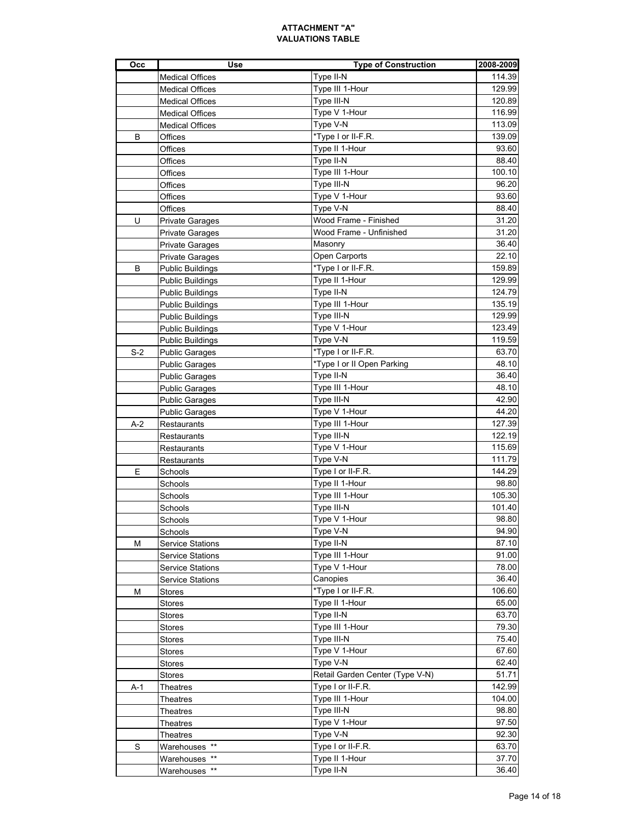| Occ   | <b>Use</b>              | <b>Type of Construction</b>     | 2008-2009 |
|-------|-------------------------|---------------------------------|-----------|
|       | <b>Medical Offices</b>  | Type II-N                       | 114.39    |
|       | <b>Medical Offices</b>  | Type III 1-Hour                 | 129.99    |
|       | <b>Medical Offices</b>  | Type III-N                      | 120.89    |
|       | <b>Medical Offices</b>  | Type V 1-Hour                   | 116.99    |
|       | <b>Medical Offices</b>  | Type V-N                        | 113.09    |
| B     | Offices                 | *Type I or II-F.R.              | 139.09    |
|       | Offices                 | Type II 1-Hour                  | 93.60     |
|       | Offices                 | Type II-N                       | 88.40     |
|       | Offices                 | Type III 1-Hour                 | 100.10    |
|       | Offices                 | Type III-N                      | 96.20     |
|       | Offices                 | Type V 1-Hour                   | 93.60     |
|       | Offices                 | Type V-N                        | 88.40     |
| U     | <b>Private Garages</b>  | Wood Frame - Finished           | 31.20     |
|       | <b>Private Garages</b>  | Wood Frame - Unfinished         | 31.20     |
|       | <b>Private Garages</b>  | Masonry                         | 36.40     |
|       | <b>Private Garages</b>  | Open Carports                   | 22.10     |
| в     | <b>Public Buildings</b> | *Type I or II-F.R.              | 159.89    |
|       | <b>Public Buildings</b> | Type II 1-Hour                  | 129.99    |
|       | <b>Public Buildings</b> | Type II-N                       | 124.79    |
|       | <b>Public Buildings</b> | Type III 1-Hour                 | 135.19    |
|       | <b>Public Buildings</b> | Type III-N                      | 129.99    |
|       | <b>Public Buildings</b> | Type V 1-Hour                   | 123.49    |
|       | Public Buildings        | Type V-N                        | 119.59    |
| $S-2$ | <b>Public Garages</b>   | *Type I or II-F.R.              | 63.70     |
|       | <b>Public Garages</b>   | *Type I or II Open Parking      | 48.10     |
|       | <b>Public Garages</b>   | Type II-N                       | 36.40     |
|       | <b>Public Garages</b>   | Type III 1-Hour                 | 48.10     |
|       | <b>Public Garages</b>   | Type III-N                      | 42.90     |
|       | <b>Public Garages</b>   | Type V 1-Hour                   | 44.20     |
| A-2   | Restaurants             | Type III 1-Hour                 | 127.39    |
|       | Restaurants             | Type III-N                      | 122.19    |
|       | Restaurants             | Type V 1-Hour                   | 115.69    |
|       | <b>Restaurants</b>      | Type V-N                        | 111.79    |
| Е     | Schools                 | Type I or II-F.R.               | 144.29    |
|       | Schools                 | Type II 1-Hour                  | 98.80     |
|       | Schools                 | Type III 1-Hour                 | 105.30    |
|       | Schools                 | Type III-N                      | 101.40    |
|       | Schools                 | Type V 1-Hour                   | 98.80     |
|       | Schools                 | Type V-N                        | 94.90     |
| М     | <b>Service Stations</b> | Type II-N                       | 87.10     |
|       | <b>Service Stations</b> | Type III 1-Hour                 | 91.00     |
|       | <b>Service Stations</b> | Type V 1-Hour                   | 78.00     |
|       | <b>Service Stations</b> | Canopies                        | 36.40     |
| М     | Stores                  | *Type I or II-F.R.              | 106.60    |
|       | <b>Stores</b>           | Type II 1-Hour                  | 65.00     |
|       | <b>Stores</b>           | Type II-N                       | 63.70     |
|       | <b>Stores</b>           | Type III 1-Hour                 | 79.30     |
|       | Stores                  | Type III-N                      | 75.40     |
|       | Stores                  | Type V 1-Hour                   | 67.60     |
|       | <b>Stores</b>           | Type V-N                        | 62.40     |
|       | Stores                  | Retail Garden Center (Type V-N) | 51.71     |
| A-1   | Theatres                | Type I or II-F.R.               | 142.99    |
|       | Theatres                | Type III 1-Hour                 | 104.00    |
|       | Theatres                | Type III-N                      | 98.80     |
|       | Theatres                | Type V 1-Hour                   | 97.50     |
|       | Theatres                | Type V-N                        | 92.30     |
| S     | Warehouses **           | Type I or II-F.R.               | 63.70     |
|       | Warehouses **           | Type II 1-Hour                  | 37.70     |
|       | Warehouses **           | Type II-N                       | 36.40     |
|       |                         |                                 |           |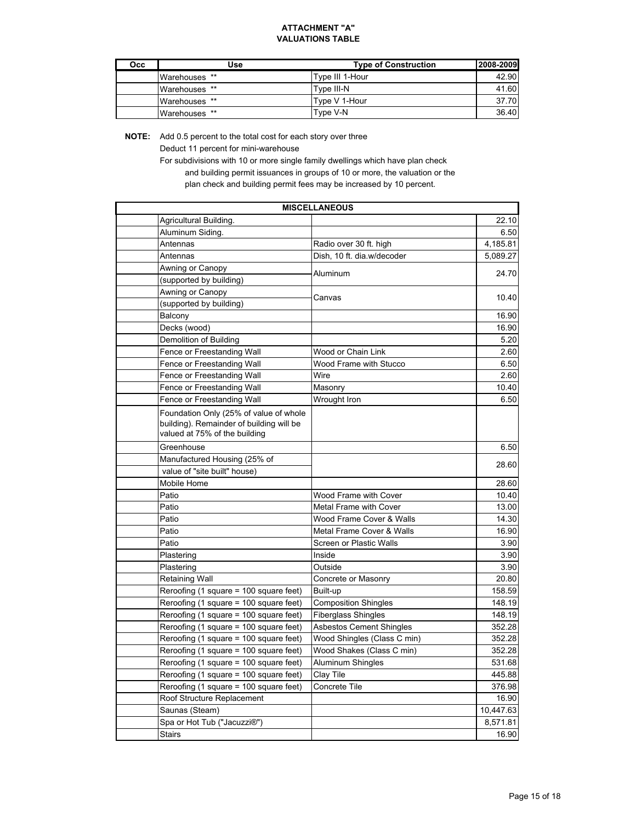| Occ | Use           | <b>Type of Construction</b> | 2008-2009 |
|-----|---------------|-----------------------------|-----------|
|     | Warehouses ** | Type III 1-Hour             | 42.90     |
|     | Warehouses ** | Tvpe III-N                  | 41.60     |
|     | Warehouses ** | Type V 1-Hour               | 37.70     |
|     | Warehouses ** | Type V-N                    | 36.40     |

**NOTE:** Add 0.5 percent to the total cost for each story over three

Deduct 11 percent for mini-warehouse

For subdivisions with 10 or more single family dwellings which have plan check and building permit issuances in groups of 10 or more, the valuation or the

plan check and building permit fees may be increased by 10 percent.

|                                                                                                                     | <b>MISCELLANEOUS</b>            |           |
|---------------------------------------------------------------------------------------------------------------------|---------------------------------|-----------|
| Agricultural Building.                                                                                              |                                 | 22.10     |
| Aluminum Siding.                                                                                                    |                                 | 6.50      |
| Antennas                                                                                                            | Radio over 30 ft. high          | 4,185.81  |
| Antennas                                                                                                            | Dish, 10 ft. dia.w/decoder      | 5,089.27  |
| Awning or Canopy                                                                                                    | Aluminum                        | 24.70     |
| (supported by building)                                                                                             |                                 |           |
| Awning or Canopy                                                                                                    |                                 |           |
| (supported by building)                                                                                             | Canvas                          | 10.40     |
| Balcony                                                                                                             |                                 | 16.90     |
| Decks (wood)                                                                                                        |                                 | 16.90     |
| Demolition of Building                                                                                              |                                 | 5.20      |
| Fence or Freestanding Wall                                                                                          | Wood or Chain Link              | 2.60      |
| Fence or Freestanding Wall                                                                                          | Wood Frame with Stucco          | 6.50      |
| Fence or Freestanding Wall                                                                                          | Wire                            | 2.60      |
| Fence or Freestanding Wall                                                                                          | Masonry                         | 10.40     |
| Fence or Freestanding Wall                                                                                          | Wrought Iron                    | 6.50      |
| Foundation Only (25% of value of whole<br>building). Remainder of building will be<br>valued at 75% of the building |                                 |           |
| Greenhouse                                                                                                          |                                 | 6.50      |
| Manufactured Housing (25% of                                                                                        |                                 | 28.60     |
| value of "site built" house)                                                                                        |                                 |           |
| Mobile Home                                                                                                         |                                 | 28.60     |
| Patio                                                                                                               | Wood Frame with Cover           | 10.40     |
| Patio                                                                                                               | <b>Metal Frame with Cover</b>   | 13.00     |
| Patio                                                                                                               | Wood Frame Cover & Walls        | 14.30     |
| Patio                                                                                                               | Metal Frame Cover & Walls       | 16.90     |
| Patio                                                                                                               | Screen or Plastic Walls         | 3.90      |
| Plastering                                                                                                          | Inside                          | 3.90      |
| Plastering                                                                                                          | Outside                         | 3.90      |
| <b>Retaining Wall</b>                                                                                               | Concrete or Masonry             | 20.80     |
| Reroofing (1 square = 100 square feet)                                                                              | Built-up                        | 158.59    |
| Reroofing (1 square = 100 square feet)                                                                              | <b>Composition Shingles</b>     | 148.19    |
| Reroofing (1 square = 100 square feet)                                                                              | <b>Fiberglass Shingles</b>      | 148.19    |
| Reroofing (1 square = 100 square feet)                                                                              | <b>Asbestos Cement Shingles</b> | 352.28    |
| Reroofing (1 square = 100 square feet)                                                                              | Wood Shingles (Class C min)     | 352.28    |
| Reroofing (1 square = 100 square feet)                                                                              | Wood Shakes (Class C min)       | 352.28    |
| Reroofing (1 square = 100 square feet)                                                                              | Aluminum Shingles               | 531.68    |
| Reroofing (1 square = 100 square feet)                                                                              | Clay Tile                       | 445.88    |
| Reroofing (1 square = 100 square feet)                                                                              | Concrete Tile                   | 376.98    |
| Roof Structure Replacement                                                                                          |                                 | 16.90     |
| Saunas (Steam)                                                                                                      |                                 | 10,447.63 |
| Spa or Hot Tub ("Jacuzzi®")                                                                                         |                                 | 8,571.81  |
| <b>Stairs</b>                                                                                                       |                                 | 16.90     |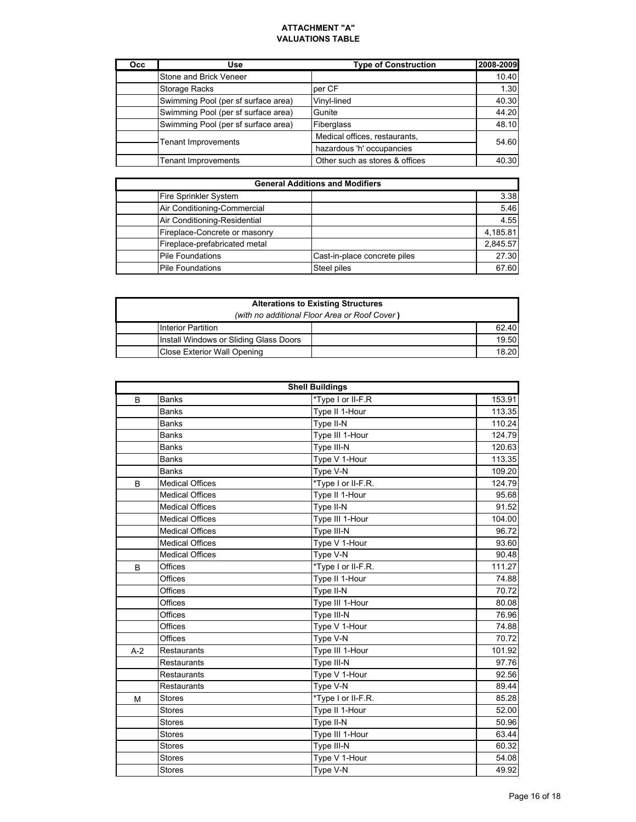| <b>Occ</b> | Use                                 | <b>Type of Construction</b>    | 2008-2009 |
|------------|-------------------------------------|--------------------------------|-----------|
|            | Stone and Brick Veneer              |                                | 10.40     |
|            | <b>Storage Racks</b>                | per CF                         | 1.30      |
|            | Swimming Pool (per sf surface area) | Vinyl-lined                    | 40.30     |
|            | Swimming Pool (per sf surface area) | Gunite                         | 44.20     |
|            | Swimming Pool (per sf surface area) | <b>Fiberglass</b>              | 48.10     |
|            | <b>Tenant Improvements</b>          | Medical offices, restaurants,  | 54.60     |
|            |                                     | hazardous 'h' occupancies      |           |
|            | <b>Tenant Improvements</b>          | Other such as stores & offices | 40.30     |

| <b>General Additions and Modifiers</b> |                              |          |  |
|----------------------------------------|------------------------------|----------|--|
| Fire Sprinkler System                  |                              | 3.38     |  |
| Air Conditioning-Commercial            |                              | 5.46     |  |
| Air Conditioning-Residential           |                              | 4.55     |  |
| Fireplace-Concrete or masonry          |                              | 4,185.81 |  |
| Fireplace-prefabricated metal          |                              | 2,845.57 |  |
| <b>Pile Foundations</b>                | Cast-in-place concrete piles | 27.30    |  |
| <b>Pile Foundations</b>                | Steel piles                  | 67.60    |  |

| <b>Alterations to Existing Structures</b>     |  |       |  |
|-----------------------------------------------|--|-------|--|
| (with no additional Floor Area or Roof Cover) |  |       |  |
| IInterior Partition                           |  | 62.40 |  |
| Install Windows or Sliding Glass Doors        |  | 19.50 |  |
| Close Exterior Wall Opening                   |  | 18.20 |  |

|       |                        | <b>Shell Buildings</b> |        |
|-------|------------------------|------------------------|--------|
| B     | <b>Banks</b>           | *Type I or II-F.R      | 153.91 |
|       | <b>Banks</b>           | Type II 1-Hour         | 113.35 |
|       | <b>Banks</b>           | Type II-N              | 110.24 |
|       | <b>Banks</b>           | Type III 1-Hour        | 124.79 |
|       | <b>Banks</b>           | Type III-N             | 120.63 |
|       | <b>Banks</b>           | Type V 1-Hour          | 113.35 |
|       | <b>Banks</b>           | Type V-N               | 109.20 |
| B     | <b>Medical Offices</b> | *Type I or II-F.R.     | 124.79 |
|       | <b>Medical Offices</b> | Type II 1-Hour         | 95.68  |
|       | <b>Medical Offices</b> | Type II-N              | 91.52  |
|       | <b>Medical Offices</b> | Type III 1-Hour        | 104.00 |
|       | <b>Medical Offices</b> | Type III-N             | 96.72  |
|       | <b>Medical Offices</b> | Type V 1-Hour          | 93.60  |
|       | <b>Medical Offices</b> | Type V-N               | 90.48  |
| B     | Offices                | *Type I or II-F.R.     | 111.27 |
|       | Offices                | Type II 1-Hour         | 74.88  |
|       | Offices                | Type II-N              | 70.72  |
|       | Offices                | Type III 1-Hour        | 80.08  |
|       | Offices                | Type III-N             | 76.96  |
|       | Offices                | Type V 1-Hour          | 74.88  |
|       | Offices                | Type V-N               | 70.72  |
| $A-2$ | <b>Restaurants</b>     | Type III 1-Hour        | 101.92 |
|       | <b>Restaurants</b>     | Type III-N             | 97.76  |
|       | <b>Restaurants</b>     | Type V 1-Hour          | 92.56  |
|       | <b>Restaurants</b>     | Type V-N               | 89.44  |
| М     | <b>Stores</b>          | *Type I or II-F.R.     | 85.28  |
|       | <b>Stores</b>          | Type II 1-Hour         | 52.00  |
|       | <b>Stores</b>          | Type II-N              | 50.96  |
|       | <b>Stores</b>          | Type III 1-Hour        | 63.44  |
|       | <b>Stores</b>          | Type III-N             | 60.32  |
|       | <b>Stores</b>          | Type V 1-Hour          | 54.08  |
|       | <b>Stores</b>          | Type V-N               | 49.92  |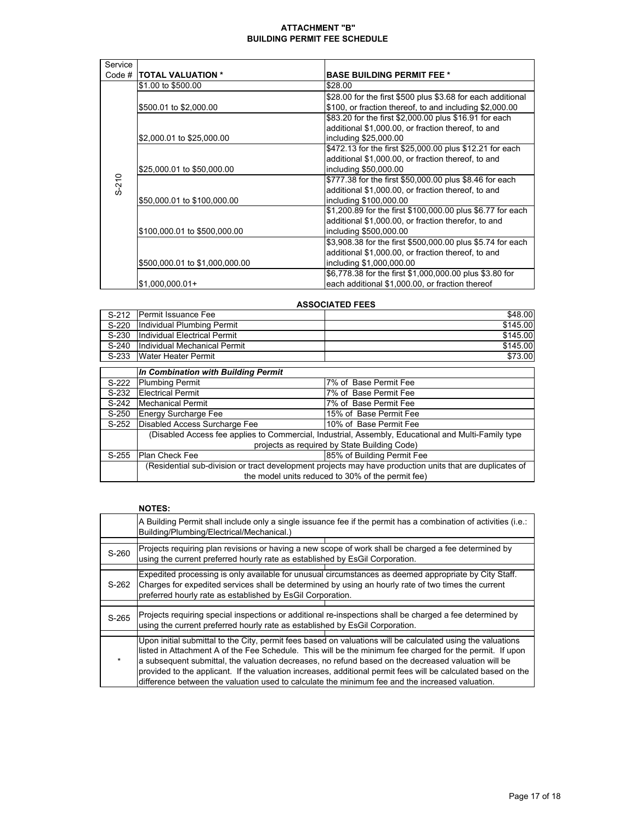#### **ATTACHMENT "B" BUILDING PERMIT FEE SCHEDULE**

| Service |                                |                                                             |
|---------|--------------------------------|-------------------------------------------------------------|
| Code #  | <b>ITOTAL VALUATION *</b>      | <b>BASE BUILDING PERMIT FEE *</b>                           |
|         | \$1.00 to \$500.00             | \$28.00                                                     |
|         |                                | \$28.00 for the first \$500 plus \$3.68 for each additional |
|         | \$500.01 to \$2,000.00         | \$100, or fraction thereof, to and including \$2,000.00     |
|         |                                | \$83.20 for the first \$2,000.00 plus \$16.91 for each      |
|         |                                | additional \$1,000.00, or fraction thereof, to and          |
|         | \$2,000.01 to \$25,000.00      | including \$25,000.00                                       |
|         |                                | \$472.13 for the first \$25,000.00 plus \$12.21 for each    |
|         |                                | additional \$1,000.00, or fraction thereof, to and          |
|         | \$25,000.01 to \$50,000.00     | including \$50,000.00                                       |
| $S-210$ |                                | \$777.38 for the first \$50,000.00 plus \$8.46 for each     |
|         |                                | additional \$1,000.00, or fraction thereof, to and          |
|         | \$50,000.01 to \$100,000.00    | including \$100,000.00                                      |
|         |                                | \$1,200.89 for the first \$100,000.00 plus \$6.77 for each  |
|         |                                | additional \$1,000.00, or fraction therefor, to and         |
|         | \$100,000.01 to \$500,000.00   | including \$500,000.00                                      |
|         |                                | \$3,908.38 for the first \$500,000.00 plus \$5.74 for each  |
|         |                                | additional \$1,000.00, or fraction thereof, to and          |
|         | \$500,000.01 to \$1,000,000.00 | including \$1,000,000.00                                    |
|         |                                | \$6,778.38 for the first \$1,000,000.00 plus \$3.80 for     |
|         | $$1,000,000.01+$               | each additional \$1,000.00, or fraction thereof             |

#### **ASSOCIATED FEES**

|         | S-212 Permit Issuance Fee          | \$48.00  |
|---------|------------------------------------|----------|
|         | S-220 Individual Plumbing Permit   | \$145.00 |
|         | S-230 Individual Electrical Permit | \$145.00 |
| $S-240$ | Individual Mechanical Permit       | \$145.00 |
|         | S-233 Water Heater Permit          | \$73.00  |

|         | In Combination with Building Permit                                                                      |                            |  |  |  |  |
|---------|----------------------------------------------------------------------------------------------------------|----------------------------|--|--|--|--|
| S-222   | <b>Plumbing Permit</b>                                                                                   | 7% of Base Permit Fee      |  |  |  |  |
| S-232   | <b>Electrical Permit</b>                                                                                 | 7% of Base Permit Fee      |  |  |  |  |
| S-242   | Mechanical Permit                                                                                        | 7% of Base Permit Fee      |  |  |  |  |
| $S-250$ | <b>Energy Surcharge Fee</b>                                                                              | 15% of Base Permit Fee     |  |  |  |  |
| $S-252$ | Disabled Access Surcharge Fee                                                                            | 10% of Base Permit Fee     |  |  |  |  |
|         | (Disabled Access fee applies to Commercial, Industrial, Assembly, Educational and Multi-Family type      |                            |  |  |  |  |
|         | projects as required by State Building Code)                                                             |                            |  |  |  |  |
| S-255   | <b>Plan Check Fee</b>                                                                                    | 85% of Building Permit Fee |  |  |  |  |
|         | (Residential sub-division or tract development projects may have production units that are duplicates of |                            |  |  |  |  |
|         | the model units reduced to 30% of the permit fee)                                                        |                            |  |  |  |  |

#### **NOTES:**

|         | A Building Permit shall include only a single issuance fee if the permit has a combination of activities (i.e.:<br>Building/Plumbing/Electrical/Mechanical.)                                                                                                                                                                                                                                                                                                                                                                                       |  |  |  |
|---------|----------------------------------------------------------------------------------------------------------------------------------------------------------------------------------------------------------------------------------------------------------------------------------------------------------------------------------------------------------------------------------------------------------------------------------------------------------------------------------------------------------------------------------------------------|--|--|--|
| S-260   | Projects requiring plan revisions or having a new scope of work shall be charged a fee determined by<br>using the current preferred hourly rate as established by EsGil Corporation.                                                                                                                                                                                                                                                                                                                                                               |  |  |  |
| S-262   | Expedited processing is only available for unusual circumstances as deemed appropriate by City Staff.<br>Charges for expedited services shall be determined by using an hourly rate of two times the current<br>preferred hourly rate as established by EsGil Corporation.                                                                                                                                                                                                                                                                         |  |  |  |
| S-265   | Projects requiring special inspections or additional re-inspections shall be charged a fee determined by<br>using the current preferred hourly rate as established by EsGil Corporation.                                                                                                                                                                                                                                                                                                                                                           |  |  |  |
| $\star$ | Upon initial submittal to the City, permit fees based on valuations will be calculated using the valuations<br>listed in Attachment A of the Fee Schedule. This will be the minimum fee charged for the permit. If upon<br>a subsequent submittal, the valuation decreases, no refund based on the decreased valuation will be<br>provided to the applicant. If the valuation increases, additional permit fees will be calculated based on the<br>difference between the valuation used to calculate the minimum fee and the increased valuation. |  |  |  |